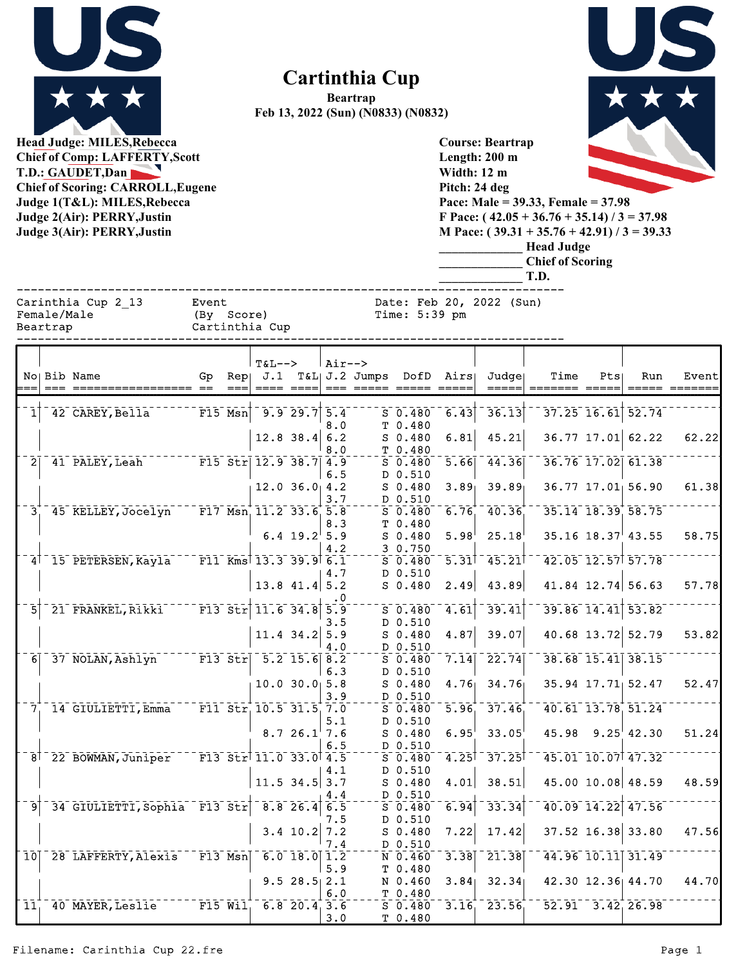

## **Cartinthia Cup**

**Beartrap Feb 13, 2022 (Sun) (N0833) (N0832)**



**Head Judge: MILES,Rebecca Chief of Comp: LAFFERTY,Scott T.D.: GAUDET,Dan Chief of Scoring: CARROLL,Eugene Judge 1(T&L): MILES,Rebecca Judge 2(Air): PERRY,Justin Judge 3(Air): PERRY,Justin** 

**Course: Beartrap Length: 200 m Width: 12 m Pitch: 24 deg Pace: Male = 39.33, Female = 37.98 F Pace: ( 42.05 + 36.76 + 35.14) / 3 = 37.98 M Pace: ( 39.31 + 35.76 + 42.91) / 3 = 39.33 \_\_\_\_\_\_\_\_\_\_\_\_\_ Head Judge \_\_\_\_\_\_\_\_\_\_\_\_\_ Chief of Scoring \_\_\_\_\_\_\_\_\_\_\_\_\_ T.D.**

| Female/Male |  |
|-------------|--|
| Reartran    |  |

artrap Cartinthia Cup

------------------------------------------------------------------------------ Carinthia Cup 2\_13 Event Date: Feb 20, 2022 (Sun)

|                 |                                                                                                           |    | $T&L-->$                                        |                             | $Air--$          |         |             |                            |                                        |      |                        |                         |       |
|-----------------|-----------------------------------------------------------------------------------------------------------|----|-------------------------------------------------|-----------------------------|------------------|---------|-------------|----------------------------|----------------------------------------|------|------------------------|-------------------------|-------|
|                 | No Bib Name                                                                                               | Gp | $Rep \cup J.1$                                  |                             |                  |         |             | $T\&L$ J.2 Jumps DofD Airs | Judge                                  | Time | Pts                    | Run                     | Event |
|                 |                                                                                                           |    |                                                 |                             |                  | $= = 2$ |             |                            |                                        |      |                        |                         |       |
|                 |                                                                                                           |    |                                                 |                             |                  |         |             |                            |                                        |      |                        |                         |       |
|                 | 42 CAREY, Bella                                                                                           |    |                                                 | $-9.9-29.7$                 | $\overline{5.4}$ |         | $S$ 0.480   | 6.43                       | 36.13                                  |      | $37.25$ 16.61 52.74    |                         |       |
|                 |                                                                                                           |    |                                                 |                             | 8.0              |         | T 0.480     |                            |                                        |      |                        |                         |       |
|                 |                                                                                                           |    |                                                 | $12.8$ 38.4 6.2             |                  |         | $S$ 0.480   | 6.81                       | 45.21                                  |      |                        | 36.77 17.01 62.22       | 62.22 |
|                 |                                                                                                           |    |                                                 |                             | 8.0              |         | T 0.480     |                            |                                        |      |                        |                         |       |
| $\overline{2}$  | <sup>41</sup> PALEY, Leah F15 Str 12.9 38.7 4.9                                                           |    |                                                 |                             |                  |         | $S$ 0.480   | 5.66                       | 44.36                                  |      |                        | 36.76 17.02 61.38       |       |
|                 |                                                                                                           |    |                                                 |                             | 6.5              |         | D 0.510     |                            |                                        |      |                        |                         |       |
|                 |                                                                                                           |    |                                                 | $12.0$ $36.0$ $4.2$         |                  |         | $S$ 0.480   | 3.89                       | 39.89                                  |      |                        | $36.77$ 17.01 56.90     | 61.38 |
|                 |                                                                                                           |    |                                                 |                             | 3.7              |         | D 0.510     |                            |                                        |      |                        |                         |       |
| $3^{+}$         | 45 KELLEY, Jocelyn F17 Msn 11.2 33.6 5.8                                                                  |    |                                                 |                             |                  |         | $S$ 0.480   | 6.76                       | 40.36                                  |      |                        | 35.14 18.39 58.75       |       |
|                 |                                                                                                           |    |                                                 |                             | 8.3              |         | T 0.480     |                            |                                        |      |                        |                         |       |
|                 |                                                                                                           |    |                                                 | 6.4 $19.2$ <sup>1</sup> 5.9 |                  |         | $S$ 0.480   | 5.98                       | 25.18                                  |      |                        | $35.16$ $18.37$ $43.55$ | 58.75 |
|                 |                                                                                                           |    |                                                 |                             | 4.2              |         | 3 0.750     |                            |                                        |      |                        |                         |       |
|                 | 4 15 PETERSEN, Kayla                                                                                      |    | $\overline{F11}$ Kms $\overline{13.3}$ 39.9 6.1 |                             |                  |         | $S$ 0.480   | $\overline{5.31}$          | $-45.21$                               |      |                        | 42.05 12.57 57.78       |       |
|                 |                                                                                                           |    |                                                 |                             | 4.7              |         | D 0.510     |                            |                                        |      |                        |                         |       |
|                 |                                                                                                           |    |                                                 | 13.8 $41.4$ 5.2             |                  |         | $S$ 0.480   | 2.49                       | 43.89                                  |      |                        | $41.84$ 12.74 56.63     | 57.78 |
|                 |                                                                                                           |    |                                                 |                             |                  |         |             |                            |                                        |      |                        |                         |       |
|                 |                                                                                                           |    |                                                 |                             | .0               |         |             |                            |                                        |      |                        |                         |       |
|                 | 21 FRANKEL, Rikki F13 Str 11.6 34.8 5.9                                                                   |    |                                                 |                             |                  |         | $S$ 0.480   | 4.61                       | 39.41                                  |      |                        | 39.86 14.41 53.82       |       |
|                 |                                                                                                           |    |                                                 |                             | 3.5              |         | D 0.510     |                            |                                        |      |                        |                         |       |
|                 |                                                                                                           |    |                                                 | $11.4$ 34.2 5.9             |                  |         | $S$ 0.480   | 4.87                       | 39.07                                  |      |                        | 40.68 13.72 52.79       | 53.82 |
|                 |                                                                                                           |    |                                                 |                             | 4.0              |         | D 0.510     |                            |                                        |      |                        |                         |       |
|                 | 6 37 NOLAN, Ashlyn F13 Str 5.2 15.6 8.2                                                                   |    |                                                 |                             |                  |         | $S$ 0.480   | 7.14                       | 22.74                                  |      |                        | 38.68 15.41 38.15       |       |
|                 |                                                                                                           |    |                                                 |                             | 6.3              |         | D 0.510     |                            |                                        |      |                        |                         |       |
|                 |                                                                                                           |    |                                                 | 10.0 30.0 5.8               |                  |         | $S$ 0.480   | 4.76                       | 34.76                                  |      |                        | 35.94 17.71 52.47       | 52.47 |
|                 |                                                                                                           |    |                                                 |                             | 3.9              |         | D 0.510     |                            |                                        |      |                        |                         |       |
|                 | 7, 14 GIULIETTI, Emma F11 Str, 10.5 31.5, 7.0                                                             |    |                                                 |                             |                  |         | $S$ 0.480   | $5.96^{+}$                 | 37.46                                  |      |                        | 40.61 13.78 51.24       |       |
|                 |                                                                                                           |    |                                                 |                             | 5.1              |         | D 0.510     |                            |                                        |      |                        |                         |       |
|                 |                                                                                                           |    |                                                 | 8.726.17.6                  |                  |         | $S_0.480$   | $6.95^{\dagger}$           | 33.05                                  |      |                        | $45.98$ $9.25$ $42.30$  | 51.24 |
|                 |                                                                                                           |    |                                                 |                             | 6.5              |         | D 0.510     |                            |                                        |      |                        |                         |       |
|                 | 8 <sup>1-22</sup> BOWMAN, Juniper <sup>-1</sup> F13 Str <sup>1</sup> 11.0 <sup>-33.0<sup>1</sup>4.5</sup> |    |                                                 |                             |                  |         | $S$ 0.480   |                            | $4.25$ <sup><math>+ 37.25</math></sup> |      |                        | 45.01 10.07 47.32       |       |
|                 |                                                                                                           |    |                                                 |                             | 4.1              |         | D 0.510     |                            |                                        |      |                        |                         |       |
|                 |                                                                                                           |    |                                                 | $11.5$ 34.5 3.7             |                  |         | $S$ 0.480   | 4.01                       | 38.51                                  |      |                        | 45.00 10.08 48.59       | 48.59 |
|                 |                                                                                                           |    |                                                 |                             | 4.4              |         | D 0.510     |                            |                                        |      |                        |                         |       |
| ⊺و⊺             | 34 GIULIETTI, Sophia F13 Str 8.8 26.4 6.5                                                                 |    |                                                 |                             |                  |         | $S$ 0.480   | 6.94                       | 33.34                                  |      |                        | 40.09 14.22 47.56       |       |
|                 |                                                                                                           |    |                                                 |                             | 7.5              |         | D 0.510     |                            |                                        |      |                        |                         |       |
|                 |                                                                                                           |    |                                                 | 3.4 $10.2$ 7.2              |                  |         | $S$ 0.480   | 7.22                       | 17.42                                  |      |                        | $37.52$ 16.38 33.80     | 47.56 |
|                 |                                                                                                           |    |                                                 |                             | 7.4              |         |             |                            |                                        |      |                        |                         |       |
|                 |                                                                                                           |    |                                                 |                             |                  |         | D 0.510     |                            |                                        |      |                        |                         |       |
|                 | 10 28 LAFFERTY, Alexis F13 Msn 6.0 18.0 1.2                                                               |    |                                                 |                             |                  |         | N 0.460     | 3.38                       | $\overline{21.38}$                     |      |                        | 44.96 10.11 31.49       |       |
|                 |                                                                                                           |    |                                                 |                             | 5.9              |         | T 0.480     |                            |                                        |      |                        |                         |       |
|                 |                                                                                                           |    |                                                 | 9.528.52.1                  |                  |         | N 0.460     | 3.84                       | 32.34                                  |      |                        | 42.30 12.36 44.70       | 44.70 |
|                 |                                                                                                           |    |                                                 |                             | 6.0              |         | T 0.480     |                            |                                        |      |                        |                         |       |
| 11 <sub>1</sub> | 40 MAYER, Leslie F15 Wil, 6.8 20.4 3.6                                                                    |    |                                                 |                             |                  |         | $S$ $0.480$ |                            | $3.16^{+2.3.56^{+1.1}}$                |      | $52.91 - 3.42$ , 26.98 |                         |       |
|                 |                                                                                                           |    |                                                 |                             | 3.0              |         | T 0.480     |                            |                                        |      |                        |                         |       |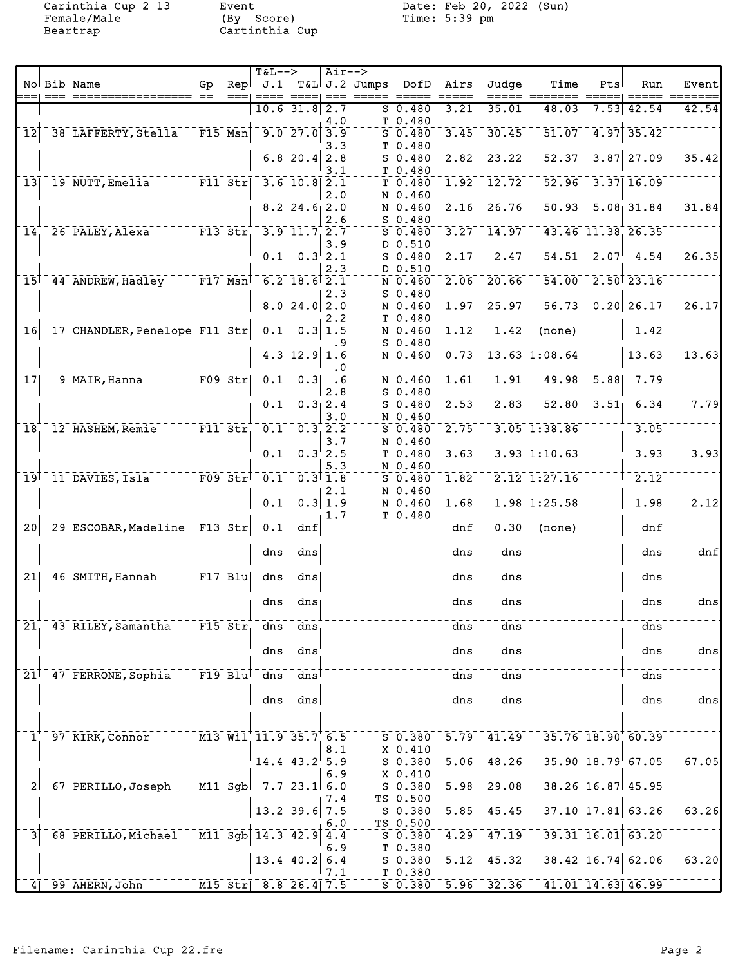Female/Male (By Score) Time: 5:39 pm Beartrap Cartinthia Cup

Carinthia Cup 2\_13 Event Date: Feb 20, 2022 (Sun)<br>Female/Male (By Score) Time: 5:39 pm

|                            | No Bib Name                                                        | Gp | Repl        | $T&L-->$<br>J.1               |                                        | $Air--$                                    | $T&L$ J.2 Jumps | DofD                            | Airs | Judgel                   | Time                                                       | Pts  | Run                     | Event |
|----------------------------|--------------------------------------------------------------------|----|-------------|-------------------------------|----------------------------------------|--------------------------------------------|-----------------|---------------------------------|------|--------------------------|------------------------------------------------------------|------|-------------------------|-------|
|                            |                                                                    |    |             |                               |                                        |                                            |                 |                                 |      |                          |                                                            |      |                         |       |
|                            |                                                                    |    |             |                               | $10.6$ 31.8 2.7                        | 4.0                                        |                 | $S$ 0.480<br>T 0.480            | 3.21 | 35.01                    | 48.03                                                      | 7.53 | 42.54                   | 42.54 |
| $\overline{12}$            | 38 LAFFERTY, Stella                                                |    | $F15$ Msn   |                               | $\overline{9.0}$ 27.0                  | 3.9<br>3.3                                 | т               | $S_0.480$<br>0.480              | 3.45 | 30.45                    | 51.07                                                      | 4.97 | 35.42                   |       |
|                            |                                                                    |    |             |                               | $6.8$ 20.4                             | 2.8<br>3.1                                 |                 | $S$ 0.480<br>T 0.480            | 2.82 | 23.22                    | 52.37                                                      |      | $3.87$ 27.09            | 35.42 |
| 13                         | 19 NUTT, Emelia                                                    |    | $F11$ Str   |                               | $3.6$ 10.8                             | 2.1<br>2.0                                 |                 | T 0.480<br>N 0.460              | 1.92 | 12.72                    | 52.96                                                      |      | $3.37$ 16.09            |       |
|                            |                                                                    |    |             |                               | $8.2$ 24.6 2.0                         | 2.6                                        |                 | N 0.460<br>$S$ 0.480            | 2.16 | 26.76                    | 50.93                                                      |      | $5.08$ 31.84            | 31.84 |
| $\overline{1}\overline{4}$ | 26 PALEY, Alexa                                                    |    | $F13$ $Str$ |                               | $-3.9$ $11.7$ $2.7$                    |                                            |                 | $S_0.480$                       | 3.27 | 14.97                    |                                                            |      | 43.46 11.38 26.35       |       |
|                            |                                                                    |    |             | 0.1                           |                                        | 3.9<br>$0.3^{+}2.1$<br>2.3                 |                 | D 0.510<br>$S$ 0.480<br>D 0.510 | 2.17 | 2.47                     | 54.51                                                      | 2.07 | 4.54                    | 26.35 |
|                            | 15 44 ANDREW, Hadley F17 Msn                                       |    |             |                               | $6.2$ 18.6 $2.1$                       |                                            |                 | N 0.460                         | 2.06 | 20.66                    |                                                            |      | 54.00 2.50 23.16        |       |
|                            |                                                                    |    |             |                               | 8.024.02.0                             | 2.3<br>2.2                                 |                 | $S$ 0.480<br>N 0.460<br>T 0.480 | 1.97 | 25.97                    | 56.73                                                      |      | $0.20$ 26.17            | 26.17 |
| $\overline{1}\overline{6}$ | 17 CHANDLER, Penelope F11 Str                                      |    |             |                               | $0.1 - 0.3$                            | 1.5                                        |                 | N 0.460                         | 1.12 | 1.42                     | $\overline{(none)}$                                        |      | 1.42                    |       |
|                            |                                                                    |    |             |                               | $4.3$ 12.9                             | . 9<br>1.6<br>. 0                          |                 | $S_0.480$<br>N 0.460            | 0.73 |                          | $13.63$ 1:08.64                                            |      | 13.63                   | 13.63 |
| 17 <sup>1</sup>            | 9 MAIR, Hanna                                                      |    | $F09$ Str   |                               | $\overline{0.1}^{-1}$ $\overline{0.3}$ | .6<br>2.8                                  |                 | N 0.460<br>$S$ 0.480            | 1.61 | 1.91                     | 49.98                                                      | 5.88 | 7.79                    |       |
|                            |                                                                    |    |             | 0.1                           |                                        | 0.312.4<br>3.0                             |                 | $S$ 0.480<br>N 0.460            | 2.53 | 2.83 <sub>1</sub>        | 52.80                                                      | 3.51 | 6.34                    | 7.79  |
| $\overline{18}$            | 12 HASHEM, Remie                                                   |    |             | F11 Str 0.1                   |                                        | $\overline{0.3}$ , $\overline{2.2}$<br>3.7 |                 | $S$ 0.480<br>N 0.460            | 2.75 |                          | 3.05, 1.38.86                                              |      | 3.05                    |       |
|                            |                                                                    |    |             | 0.1                           |                                        | $0.3^{+}$ 2.5<br>5.3                       |                 | T 0.480<br>N 0.460              | 3.63 |                          | 3.93'1:10.63                                               |      | 3.93                    | 3.93  |
| 19 <sup>1</sup>            | <sup>11</sup> DAVIES, Isla                                         |    | $F09$ $Str$ | $\overline{0.1}^{-1}$         |                                        | $\overline{0.3}$ $\overline{1.8}$<br>2.1   |                 | $S_0.480$<br>N 0.460            | 1.82 |                          | $2.12$ <sup>†</sup> 1:27.16                                |      | 2.12                    |       |
|                            |                                                                    |    |             | 0.1                           |                                        | 0.3 1.9<br>1.7                             |                 | N 0.460<br>T 0.480              | 1.68 |                          | $1.98$ 1:25.58                                             |      | 1.98                    | 2.12  |
| $\overline{20}$            | 29 ESCOBAR, Madeline F13 Str                                       |    |             | 0.1                           | dnf                                    |                                            |                 |                                 | dnf  | 0.30                     | $\overline{(none)}$                                        |      | dnf                     |       |
|                            |                                                                    |    |             | dns                           | dns                                    |                                            |                 |                                 | dns  | dns                      |                                                            |      | dns                     | dnf   |
| $\overline{21}$            | 46 SMITH, Hannah F17 Blu                                           |    |             | $\overline{dns}$              | dns                                    |                                            |                 |                                 | dns  | dns                      |                                                            |      | dns                     |       |
|                            |                                                                    |    |             | dns                           | dns                                    |                                            |                 |                                 | dns  | dnsı                     |                                                            |      | dns                     | dns   |
|                            | 21, 43 RILEY, Samantha F15 Str, dns dns                            |    |             |                               |                                        |                                            |                 |                                 | dns  | dns                      |                                                            |      | dns                     |       |
|                            |                                                                    |    |             |                               | dns dns                                |                                            |                 |                                 | dns  | ${\tt dns}$              |                                                            |      | dns                     | dns   |
|                            | 21 <sup>1</sup> 47 FERRONE, Sophia F19 Blu <sup>1</sup> dns dns    |    |             |                               |                                        |                                            |                 |                                 | dns  | $\alpha$ ns              |                                                            |      | $\frac{1}{\text{dns}}$  |       |
|                            |                                                                    |    |             |                               | dns dns                                |                                            |                 |                                 | dns  | dns                      |                                                            |      | dns                     | dns   |
| $\mathbf{1}$ .             | 97 KIRK, Connor                                                    |    |             | M13 Wil 11.9 35.7 6.5         |                                        |                                            |                 | $S$ 0.380                       |      | $5.79 - 41.49$           |                                                            |      | 35.76 18.90 60.39       |       |
|                            |                                                                    |    |             |                               | $14.4$ $43.2$ 5.9                      | 8.1                                        |                 | X <sub>0.410</sub><br>S 0.380   | 5.06 | 48.26                    |                                                            |      | $35.90$ $18.79$ 67.05   | 67.05 |
|                            | $2^{\dagger}$ 67 PERILLO, Joseph M11 Sgb <sup>1</sup> 7.7 23.1 6.0 |    |             |                               |                                        | 6.9                                        |                 | X 0.410<br>$S$ 0.380            |      | $5.98$ <sup>-29.08</sup> |                                                            |      | $38.26$ $16.87$ $45.95$ |       |
|                            |                                                                    |    |             |                               | 13.2 39.6 7.5                          | 7.4                                        |                 | TS 0.500<br>S 0.380             | 5.85 | 45.45                    |                                                            |      | $37.10$ 17.81 63.26     | 63.26 |
| 31                         | 68 PERILLO, Michael M11 Sgb 14.3 42.9                              |    |             |                               |                                        | 6.0<br>4.4                                 |                 | TS 0.500<br>$S = 0.380$         | 4.29 | $\overline{47.19}$       |                                                            |      | $39.31$ $16.01$ $63.20$ |       |
|                            |                                                                    |    |             |                               | 13.4 40.2                              | 6.9<br>6.4                                 |                 | $T$ 0.380<br>S 0.380            | 5.12 | 45.32                    |                                                            |      | 38.42 16.74 62.06       | 63.20 |
|                            | 99 AHERN, John                                                     |    |             | $\text{M15 Str}$ 8.8 26.4 7.5 |                                        | 7.1                                        |                 | T 0.380                         |      |                          | $5\overline{0.380}$ $5.96$ $32.36$ $41.01$ $14.63$ $46.99$ |      |                         |       |
|                            |                                                                    |    |             |                               |                                        |                                            |                 |                                 |      |                          |                                                            |      |                         |       |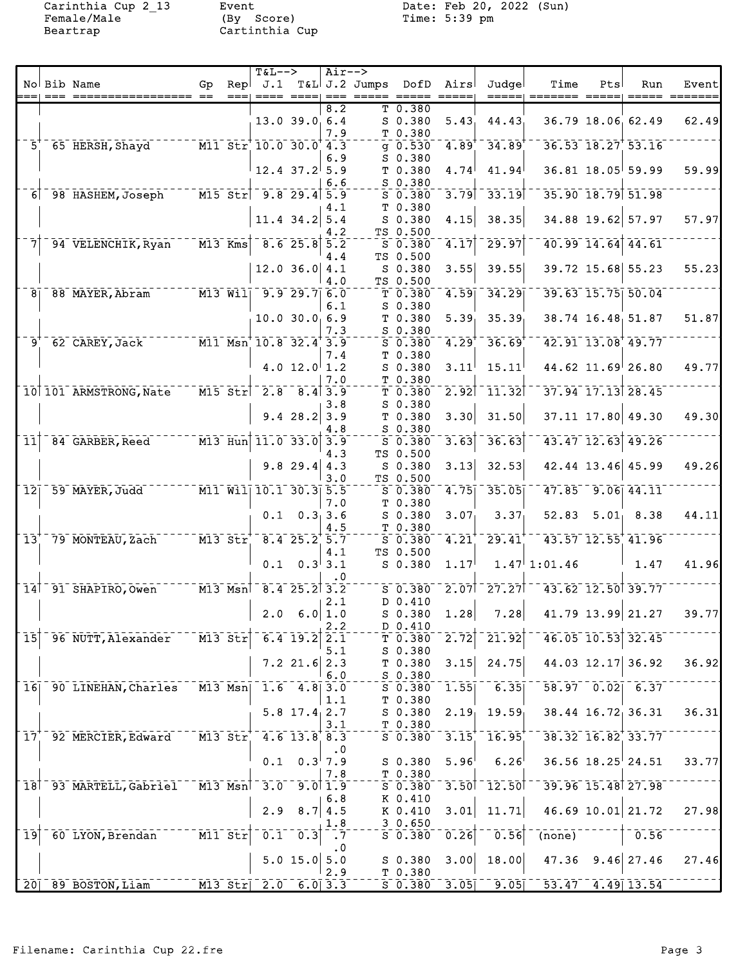Female/Male (By Score) Time: 5:39 pm Beartrap Cartinthia Cup

Carinthia Cup 2\_13 Event Date: Feb 20, 2022 (Sun)<br>Female/Male (By Score) Time: 5:39 pm

|                 |      |                                                                                |                                                |              | $T&L-->$                            |                      | $Air--$                   |                                                |                                   |                   |                                |                                       |     |                                   |                  |
|-----------------|------|--------------------------------------------------------------------------------|------------------------------------------------|--------------|-------------------------------------|----------------------|---------------------------|------------------------------------------------|-----------------------------------|-------------------|--------------------------------|---------------------------------------|-----|-----------------------------------|------------------|
|                 | $==$ | No Bib Name                                                                    | Gp                                             | Repl<br>$==$ | J.1                                 |                      |                           | T&L J.2 Jumps DofD Airs<br>_____ ___ ____ ____ |                                   |                   | Judgel<br>=====                | Time                                  | Pts | Run                               | Event<br>======= |
|                 |      |                                                                                |                                                |              |                                     |                      | 8.2                       |                                                | T 0.380                           |                   |                                |                                       |     |                                   |                  |
|                 |      |                                                                                |                                                |              |                                     | $13.0$ 39.0 6.4      |                           |                                                | $S$ 0.380                         | 5.43              | 44.43                          |                                       |     | 36.79 18.06 62.49                 | 62.49            |
|                 |      | 5 <sup>+</sup> 65 HERSH, Shayd M11 Str <sup>+</sup> 10.0 30.0 <sup>+</sup> 4.3 |                                                |              |                                     |                      | 7.9                       |                                                | T 0.380<br>$g 0.530^{-}$          |                   | $4.89^{+ -} 34.89^{+}$         |                                       |     | $36.53$ $18.27$ $53.16$           |                  |
|                 |      |                                                                                |                                                |              |                                     |                      | 6.9                       |                                                | S 0.380                           |                   |                                |                                       |     |                                   |                  |
|                 |      |                                                                                |                                                |              |                                     | $12.4$ 37.2 5.9      |                           |                                                | T <sub>0.380</sub>                | 4.74              | 41.94                          |                                       |     | $36.81$ 18.05 59.99               | 59.99            |
|                 |      |                                                                                |                                                |              |                                     |                      | 6.6                       |                                                | $S$ 0.380                         |                   | $3.79$ <sup>-</sup> $33.19$    |                                       |     |                                   |                  |
|                 |      | 6 98 HASHEM, Joseph                                                            | $\overline{M15}$ Str $\overline{9.8}$ 29.4 5.9 |              |                                     |                      | 4.1                       |                                                | $S$ 0.380<br>T 0.380              |                   |                                |                                       |     | 35.90 18.79 51.98                 |                  |
|                 |      |                                                                                |                                                |              |                                     | $11.4$ 34.2 5.4      |                           |                                                | $S_0.380$                         | 4.15              | 38.35                          |                                       |     | 34.88 19.62 57.97                 | 57.97            |
|                 |      |                                                                                |                                                |              |                                     |                      | 4.2                       |                                                | TS 0.500                          |                   |                                |                                       |     |                                   |                  |
|                 |      | 94 VELENCHIK, Ryan                                                             | $ \overline{M13}$ $\overline{Kms}$             |              |                                     | $-8.6$ 25.8 5.2      | 4.4                       |                                                | S 0.380<br>TS 0.500               | $\overline{4.17}$ | 29.97                          |                                       |     | 40.99 14.64 44.61                 |                  |
|                 |      |                                                                                |                                                |              |                                     | $12.0$ 36.0 4.1      |                           |                                                | $S$ 0.380                         | 3.55              | 39.55                          |                                       |     | 39.72 15.68 55.23                 | 55.23            |
|                 |      |                                                                                |                                                |              |                                     |                      | 4.0                       |                                                | TS 0.500                          |                   |                                |                                       |     |                                   |                  |
|                 |      | 8 88 MAYER, Abram M13 Will 9.9 29.7 6.0                                        |                                                |              |                                     |                      |                           |                                                | $T 0.380^{-1}$                    | 4.59              | 34.29                          |                                       |     | 39.63 15.75 50.04                 |                  |
|                 |      |                                                                                |                                                |              |                                     | 10.0 30.066.9        | 6.1                       |                                                | $S$ 0.380                         | 5.39 <sub>1</sub> | 35.39                          |                                       |     | 38.74 16.48 51.87                 | 51.87            |
|                 |      |                                                                                |                                                |              |                                     |                      | 7.3                       |                                                | T <sub>0.380</sub><br>S 0.380     |                   |                                |                                       |     |                                   |                  |
|                 |      | $9^{\circ}$ 62 CAREY, Jack M11 Msn 10.8 32.4 3.9                               |                                                |              |                                     |                      |                           |                                                | $S$ 0.380                         | 4.29              | $-36.69$                       |                                       |     | 42.91 13.08 49.77                 |                  |
|                 |      |                                                                                |                                                |              |                                     |                      | 7.4                       |                                                | T 0.380                           |                   |                                |                                       |     |                                   |                  |
|                 |      |                                                                                |                                                |              |                                     | 4.0 $12.0$ 1.2       |                           |                                                | S 0.380                           | 3.11              | 15.11                          |                                       |     | $44.62$ 11.69 26.80               | 49.77            |
|                 |      | 10 101 ARMSTRONG, Nate                                                         | $\overline{M15}$ str                           |              | $\frac{1}{2.8}$ $\frac{1}{8.4}$ 3.9 |                      | 7.0                       |                                                | T 0.380<br>T <sub>0.380</sub>     |                   | $2.92$ <sup>-</sup> $11.32$    |                                       |     | 37.94 17.13 28.45                 |                  |
|                 |      |                                                                                |                                                |              |                                     |                      | 3.8                       |                                                | $S$ 0.380                         |                   |                                |                                       |     |                                   |                  |
|                 |      |                                                                                |                                                |              |                                     | $9.4$ 28.2 3.9       |                           |                                                | T 0.380                           | 3.30              | 31.50                          |                                       |     | 37.11 17.80 49.30                 | 49.30            |
| 11              |      | 84 GARBER, Reed M13 Hun 11.0 33.0 3.9                                          |                                                |              |                                     |                      | 4.8                       |                                                | S 0.380                           | $\overline{3.63}$ | 36.63                          |                                       |     | 43.47 12.63 49.26                 |                  |
|                 |      |                                                                                |                                                |              |                                     |                      | 4.3                       |                                                | S 0.380<br>TS 0.500               |                   |                                |                                       |     |                                   |                  |
|                 |      |                                                                                |                                                |              |                                     | $9.8$ 29.4 4.3       |                           |                                                | $S$ 0.380                         | 3.13              | 32.53                          |                                       |     | 42.44 13.46 45.99                 | 49.26            |
|                 |      |                                                                                |                                                |              |                                     |                      | 3.0                       |                                                | TS 0.500                          |                   |                                |                                       |     |                                   |                  |
| $\overline{12}$ |      | 59 MAYER, Judd M11 Will 10.1 30.3 5.5                                          |                                                |              |                                     |                      |                           |                                                | S 0.380                           | 4.75              | 35.05                          |                                       |     | $47.85 - 9.06$ $44.11$            |                  |
|                 |      |                                                                                |                                                |              |                                     | $0.1 \quad 0.3, 3.6$ | 7.0                       |                                                | T 0.380<br>$S$ 0.380              | 3.07              | 3.37 <sub>1</sub>              |                                       |     | $52.83$ $5.01$ $8.38$             | 44.11            |
|                 |      |                                                                                |                                                |              |                                     |                      | 4.5                       |                                                | T 0.380                           |                   |                                |                                       |     |                                   |                  |
| 13 <sup>′</sup> |      | 79 MONTEAU, Zach M13 Str 8.4 25.2 5.7                                          |                                                |              |                                     |                      |                           |                                                | $5^{\circ}$ 0.380 $^{\circ}$ 4.21 |                   | $29.41$ <sup>*</sup>           |                                       |     | 43.57 12.55 41.96                 |                  |
|                 |      |                                                                                |                                                |              |                                     | $0.1 \quad 0.3$ 3.1  | 4.1                       |                                                | TS 0.500                          | 1.17              |                                | $1.47 \cdot 1:01.46$                  |     | 1.47                              | 41.96            |
|                 |      |                                                                                |                                                |              |                                     |                      | $\cdot$ 0                 |                                                | $S$ 0.380                         |                   |                                |                                       |     |                                   |                  |
|                 |      | 14 91 SHAPIRO, Owen M13 Msn 8.4 25.2 3.2                                       |                                                |              |                                     |                      |                           |                                                | $S$ 0.380                         |                   |                                | $2.07$   27.27  $-43.62$ 12.50  39.77 |     |                                   |                  |
|                 |      |                                                                                |                                                |              |                                     |                      | 2.1                       |                                                | D 0.410                           |                   |                                |                                       |     |                                   |                  |
|                 |      |                                                                                |                                                |              |                                     | $2.0 \t 6.0 1.0$     |                           |                                                | $S$ 0.380 1.28                    |                   | 7.28                           | 41.79 13.99 21.27                     |     |                                   | 39.77            |
| $\overline{15}$ |      | 96 NUTT, Alexander                                                             | $M13$ $Str$                                    |              |                                     | $6.4$ 19.2           | 2.2<br>2.1                |                                                | D 0.410<br>$T$ 0.380              | $\overline{2.72}$ | 21.92                          |                                       |     | 46.05 10.53 32.45                 |                  |
|                 |      |                                                                                |                                                |              |                                     |                      | 5.1                       |                                                | $S$ 0.380                         |                   |                                |                                       |     |                                   |                  |
|                 |      |                                                                                |                                                |              |                                     | $7.2$ 21.6 2.3       |                           |                                                | T <sub>0.380</sub>                | 3.15              | 24.75                          |                                       |     | 44.03 12.17 36.92                 | 36.92            |
|                 |      | 90 LINEHAN, Charles                                                            | $M13$ Msn                                      |              |                                     |                      | 6.0                       |                                                | $S$ 0.380                         | 1.55              | 6.35                           |                                       |     | $58.97 - 0.02 - 6.37$             |                  |
| 16              |      |                                                                                |                                                |              |                                     | $1.6$ $4.8$ 3.0      | 1.1                       |                                                | $S$ 0.380<br>T 0.380              |                   |                                |                                       |     |                                   |                  |
|                 |      |                                                                                |                                                |              |                                     | $5.8$ 17.4 2.7       |                           |                                                | $S_0.380$                         | 2.19              | 19.59                          |                                       |     | 38.44 16.72 36.31                 | 36.31            |
|                 |      |                                                                                |                                                |              |                                     |                      | 3.1                       |                                                | T 0.380                           |                   |                                |                                       |     |                                   |                  |
| 17 <sub>1</sub> |      | 92 MERCIER, Edward                                                             |                                                |              | M13 Str 4.6 13.8 8.3                |                      |                           |                                                | $5^{\circ}$ 0.380                 | 3.15              | 16.95                          |                                       |     | $38.32$ $16.82$ $33.77$           |                  |
|                 |      |                                                                                |                                                |              | 0.1                                 |                      | $\cdot$ 0<br>$0.3^{+}7.9$ |                                                | $S$ 0.380                         | 5.96              | 6.26                           |                                       |     | $36.56$ $18.25$ <sup>2</sup> 4.51 | 33.77            |
|                 |      |                                                                                |                                                |              |                                     |                      | 7.8                       |                                                | T 0.380                           |                   |                                |                                       |     |                                   |                  |
|                 |      | 18 <sup>1-</sup> 93 MARTELL, Gabriel                                           | $\overline{M13}$ Msn                           |              | $-3.0$                              |                      | 9.0 1.9                   |                                                | $S$ 0.380                         | 3.50              | $\bar{1}\bar{2}$ .50 $\bar{1}$ |                                       |     | 39.96 15.48 27.98                 |                  |
|                 |      |                                                                                |                                                |              |                                     |                      | 6.8                       |                                                | K 0.410                           |                   |                                |                                       |     |                                   |                  |
|                 |      |                                                                                |                                                |              | 2.9                                 |                      | 8.7   4.5<br>1.8          |                                                | K 0.410<br>30.650                 | 3.01              | 11.71                          |                                       |     | 46.69 10.01 21.72                 | 27.98            |
| 19              |      | 60 LYON, Brendan                                                               | $\overline{M11}$ Str                           |              | 0.1                                 | $\overline{0.3}$     | $\cdot$ 7                 |                                                | $5 - 0.380$                       | 0.26              | 0.56                           | $\overline{(none)}$                   |     | 0.56                              |                  |
|                 |      |                                                                                |                                                |              |                                     |                      | $\cdot$ 0                 |                                                |                                   |                   |                                |                                       |     |                                   |                  |
|                 |      |                                                                                |                                                |              |                                     | 5.0 15.0             | 5.0                       |                                                | $S$ 0.380                         | 3.00              | 18.00                          | 47.36                                 |     | $9.46$ 27.46                      | 27.46            |
|                 |      | 20 89 BOSTON, Liam                                                             |                                                |              | $M13$ Str $2.0$ 6.0 3.3             |                      | 2.9                       |                                                | T 0.380<br>$S$ 0.380              | 3.05              | 9.05                           | $53.47$ $4.49$ 13.54                  |     |                                   |                  |
|                 |      |                                                                                |                                                |              |                                     |                      |                           |                                                |                                   |                   |                                |                                       |     |                                   |                  |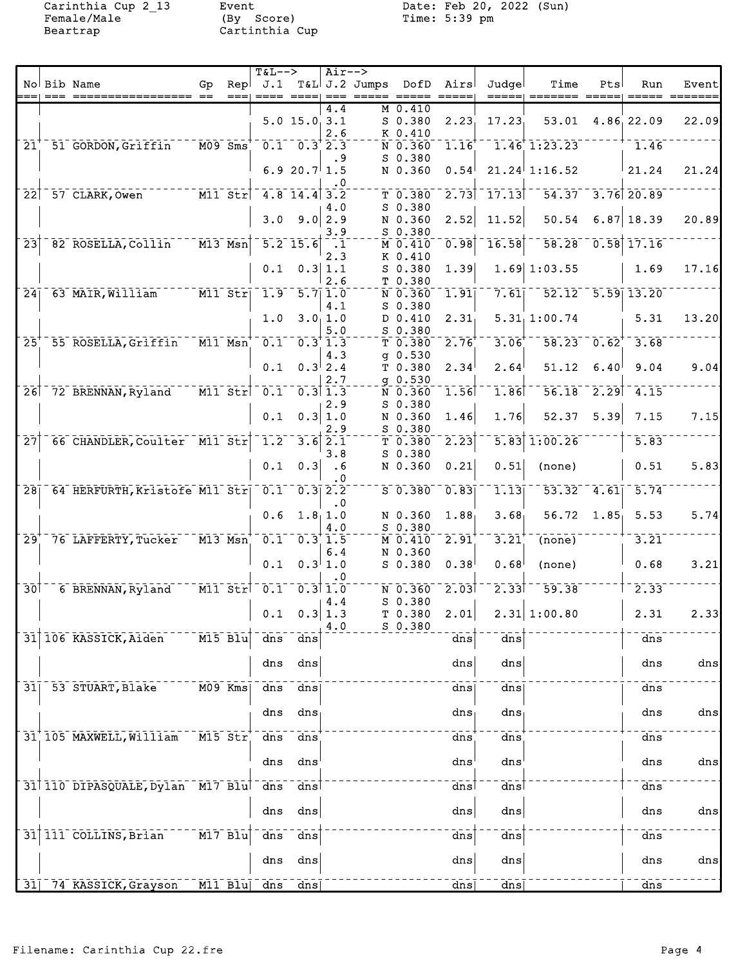Carinthia Cup 2\_13<br>Female/Male<br>Beartrap

Event<br>(By Score)<br>Cartinthia Cup

Date: Feb 20, 2022 (Sun)<br>Time: 5:39 pm

|                 |                                  |                                           |                                   | $T&L-->$                                           |                                                    | $Air--$          |                             |                   |                        |                                           |         |                   |                |
|-----------------|----------------------------------|-------------------------------------------|-----------------------------------|----------------------------------------------------|----------------------------------------------------|------------------|-----------------------------|-------------------|------------------------|-------------------------------------------|---------|-------------------|----------------|
|                 | No Bib Name                      | Gp                                        | Repl                              |                                                    | ====+ ===                                          |                  | J.1 T&L J.2 Jumps DofD Airs |                   | Judgel                 | Time                                      | Pts     | Run               | Event          |
|                 |                                  |                                           |                                   |                                                    |                                                    | 4.4              | M 0.410                     |                   |                        |                                           |         |                   |                |
|                 |                                  |                                           |                                   |                                                    | $5.0$ 15.0 $3.1$                                   |                  | S 0.380                     | 2.23              | 17.23                  | 53.01                                     |         | 4.86 22.09        | 22.09          |
|                 |                                  |                                           |                                   |                                                    |                                                    | 2.6              | K 0.410                     |                   |                        |                                           |         |                   |                |
|                 | 21 51 GORDON, Griffin            | $^{-1}$ MO9 $^{-1}$ Sms $^{+}$            |                                   | $\overline{0.1}$ $\overline{0.3}$ $\overline{2.3}$ |                                                    |                  | N 0.360                     | $-1.16$           |                        | $-1.46$ <sup>+</sup> 1:23.23 <sup>-</sup> |         | 1.46              |                |
|                 |                                  |                                           |                                   |                                                    |                                                    | . 9              | $S$ 0.380                   |                   |                        |                                           |         |                   |                |
|                 |                                  |                                           |                                   |                                                    | 6.9 20.7 1.5                                       | . 0              | N 0.360                     | 0.54              |                        | $21.24$ 1:16.52                           |         | 21.24             | 21.24          |
|                 | $22$ $57$ CLARK, Owen            | $T = T$ $\overline{M11}$ $\overline{Str}$ |                                   |                                                    | $4.8$ 14.4 3.2                                     |                  | T 0.380                     | 2.73              | $-17.13$               | 54.37 3.76 20.89                          |         |                   |                |
|                 |                                  |                                           |                                   |                                                    |                                                    | 4.0              | $S$ 0.380                   |                   |                        |                                           |         |                   |                |
|                 |                                  |                                           |                                   | 3.0                                                |                                                    | $9.0$   2.9      | N 0.360                     | 2.52              | 11.52                  | 50.54                                     |         | $6.87$ 18.39      | 20.89          |
|                 |                                  |                                           |                                   |                                                    |                                                    | 3.9              | S 0.380                     |                   |                        |                                           |         |                   |                |
| $\overline{23}$ | 82 ROSELLA, Collin               | $ \overline{M13}$ $\overline{Msn}$        |                                   |                                                    | $\overline{5.2}$ 15.6 $\overline{1.1}$             | 2.3              | M 0.410<br>K 0.410          | 0.98              | 16.58                  | 58.28                                     |         | $0.58$ 17.16      |                |
|                 |                                  |                                           |                                   | 0.1                                                |                                                    | 0.3 1.1          | S 0.380                     | 1.39              |                        | $1.69$ 1:03.55                            |         | 1.69              | 17.16          |
|                 |                                  |                                           |                                   |                                                    |                                                    | 2.6              | T 0.380                     |                   |                        |                                           |         |                   |                |
|                 | 24 63 MAIR, William M11 Str      |                                           |                                   | $\overline{1.9}$                                   | $-5.7$ $\overline{1.0}$                            |                  | N 0.360                     | $\overline{1.91}$ | 7.61                   | $52.12 - 5.59$ 13.20                      |         |                   |                |
|                 |                                  |                                           |                                   |                                                    |                                                    | 4.1              | $S$ 0.380                   |                   |                        |                                           |         |                   |                |
|                 |                                  |                                           |                                   | 1.0                                                |                                                    | 3.0, 1.0         | D 0.410                     | 2.31              |                        | 5.31, 1:00.74                             |         | 5.31              | 13.20          |
| 25              | 55 ROSELLA, Griffin M11 Msn      |                                           |                                   | 0.1                                                | $\overline{0.3}$ $\overline{1.3}$                  | 5.0              | S 0.380<br>T 0.380          | 2.76              | 3.06                   | $\overline{58.23}$ 0.62 <sup>+</sup>      |         | 3.68              |                |
|                 |                                  |                                           |                                   |                                                    |                                                    | 4.3              | $q$ 0.530                   |                   |                        |                                           |         |                   |                |
|                 |                                  |                                           |                                   | 0.1                                                |                                                    | $0.3^{+}2.4$     | T 0.380                     | 2.34              | 2.64                   | 51.12                                     | 6.40    | 9.04              | 9.04           |
|                 |                                  |                                           |                                   |                                                    |                                                    | 2.7              | $g$ 0.530                   |                   |                        |                                           |         |                   |                |
|                 | 26 72 BRENNAN, Ryland            |                                           | $\overline{M11}$ $\overline{Str}$ |                                                    | $0.1 - 0.3$ 1.3                                    |                  | N 0.360                     | 1.56              | 1.86                   | $56.18 - 2.29$ $-4.15$                    |         |                   |                |
|                 |                                  |                                           |                                   | 0.1                                                |                                                    | 2.9<br>0.3   1.0 | $S$ 0.380<br>N 0.360        | 1.46              | 1.76                   | 52.37                                     | 5.39    | 7.15              | 7.15           |
|                 |                                  |                                           |                                   |                                                    |                                                    | 2.9              | S 0.380                     |                   |                        |                                           |         |                   |                |
| $\overline{27}$ | 66 CHANDLER, Coulter M11 Str     |                                           |                                   |                                                    | $1.2 - 3.6$ $2.1$                                  |                  | T <sub>0.380</sub>          | $\overline{2.23}$ | 5.83                   | 1:00.26                                   |         | $\overline{5.83}$ |                |
|                 |                                  |                                           |                                   |                                                    |                                                    | 3.8              | $S$ 0.380                   |                   |                        |                                           |         |                   |                |
|                 |                                  |                                           |                                   | 0.1                                                | 0.3                                                | $\ddotsc$        | N 0.360                     | 0.21              | 0.51                   | (none)                                    |         | 0.51              | 5.83           |
|                 | 28 64 HERFURTH, Kristofe M11 Str |                                           |                                   |                                                    | $\overline{0.1}$ $\overline{0.3}$ $\overline{2.2}$ | . 0              | $S$ 0.380                   | 0.83              | 1.13                   | $\overline{53.32}^{-}$                    | $-4.61$ | 5.74              |                |
|                 |                                  |                                           |                                   |                                                    |                                                    | $\cdot$ 0        |                             |                   |                        |                                           |         |                   |                |
|                 |                                  |                                           |                                   | 0.6                                                | 1.8, 1.0                                           |                  | N 0.360                     | 1.88              | 3.68                   | $56.72 \quad 1.85$                        |         | 5.53              | 5.74           |
|                 |                                  |                                           |                                   |                                                    |                                                    | 4.0              | S 0.380                     |                   |                        |                                           |         |                   |                |
| $\overline{29}$ | 76 LAFFERTY, Tucker              | $\overline{M13}$ $\overline{M}$ sn        |                                   | $\overline{0.1}^-$                                 | 0.311.5                                            | 6.4              | M 0.410<br>N 0.360          | 2.91              | 3.21                   | (none)                                    |         | 3.21              |                |
|                 |                                  |                                           |                                   | 0.1                                                |                                                    | $0.3^{ }1.0$     | $S$ 0.380                   | 0.38              | 0.68                   | (none)                                    |         | 0.68              | 3.21           |
|                 |                                  |                                           |                                   |                                                    |                                                    | $\cdot$ 0        |                             |                   |                        |                                           |         |                   |                |
| $\overline{30}$ | 6 BRENNAN, Ryland                |                                           | $M11$ Str                         | $\overline{0.1}$ $\overline{0.3}$ $\overline{1.0}$ |                                                    |                  | N 0.360                     | 2.03              | 2.33                   | 59.38                                     |         | 2.33              |                |
|                 |                                  |                                           |                                   |                                                    |                                                    | 4.4              | $S$ 0.380                   |                   |                        | 2.31 1:00.80                              |         |                   | 2.33           |
|                 |                                  |                                           |                                   |                                                    | $0.1 \quad 0.3 \mid 1.3$                           | 4.0              | T 0.380 2.01<br>$S$ 0.380   |                   |                        |                                           |         | 2.31              |                |
|                 | 31 106 KASSICK, Aiden            |                                           | $\bar{M}$ 15 Blu                  | dns                                                | dns                                                |                  |                             | $\overline{dns}$  | dns                    |                                           |         | $\overline{dns}$  |                |
|                 |                                  |                                           |                                   |                                                    |                                                    |                  |                             |                   |                        |                                           |         |                   |                |
|                 |                                  |                                           |                                   | dns                                                | dns                                                |                  |                             | dns               | dns                    |                                           |         | dns               | $\frac{d}{ds}$ |
|                 |                                  |                                           |                                   |                                                    |                                                    |                  |                             |                   |                        |                                           |         |                   |                |
|                 | 31 53 STUART, Blake              |                                           | $M09$ Kms                         | dns                                                | $\frac{1}{\text{dns}}$                             |                  |                             | dns               | $_{\rm{dns}}$          |                                           |         | dns               |                |
|                 |                                  |                                           |                                   | dns                                                | dns                                                |                  |                             | dns               | dns                    |                                           |         | dns               | dns            |
|                 |                                  |                                           |                                   |                                                    |                                                    |                  |                             |                   |                        |                                           |         |                   |                |
|                 | 31 105 MAXWELL, William          |                                           | M15 Str                           | $\frac{1}{\text{dns}}$                             | dns                                                |                  |                             | dns               | dns                    |                                           |         | dns               |                |
|                 |                                  |                                           |                                   |                                                    |                                                    |                  |                             |                   |                        |                                           |         |                   |                |
|                 |                                  |                                           |                                   | dns                                                | dns                                                |                  |                             | dns'              | dns                    |                                           |         | dns               | dns            |
|                 | 31 110 DIPASQUALE, Dylan M17 Blu |                                           |                                   | $\overline{dns}$                                   | dns                                                |                  |                             | dns               | $\overline{dns}$       |                                           |         | dns               |                |
|                 |                                  |                                           |                                   |                                                    |                                                    |                  |                             |                   |                        |                                           |         |                   |                |
|                 |                                  |                                           |                                   | dns                                                | dns                                                |                  |                             | dns               | dns                    |                                           |         | dns               | dns            |
|                 | 31 111 COLLINS, Brian            | $\overline{M17}$ Blu                      |                                   |                                                    | $\frac{1}{\text{dns}}$                             |                  |                             |                   |                        |                                           |         |                   |                |
|                 |                                  |                                           |                                   | dns                                                |                                                    |                  |                             | dns               | $\frac{1}{\text{dns}}$ |                                           |         | dns               |                |
|                 |                                  |                                           |                                   | dns                                                | dns                                                |                  |                             | dns               | dns                    |                                           |         | dns               | dns            |
|                 |                                  |                                           |                                   |                                                    |                                                    |                  |                             |                   |                        |                                           |         |                   |                |
|                 | 31 74 KASSICK, Grayson M11 Blu   |                                           |                                   | $\overline{dns}$                                   | dns                                                |                  |                             | dns               | dns                    |                                           |         | dns               |                |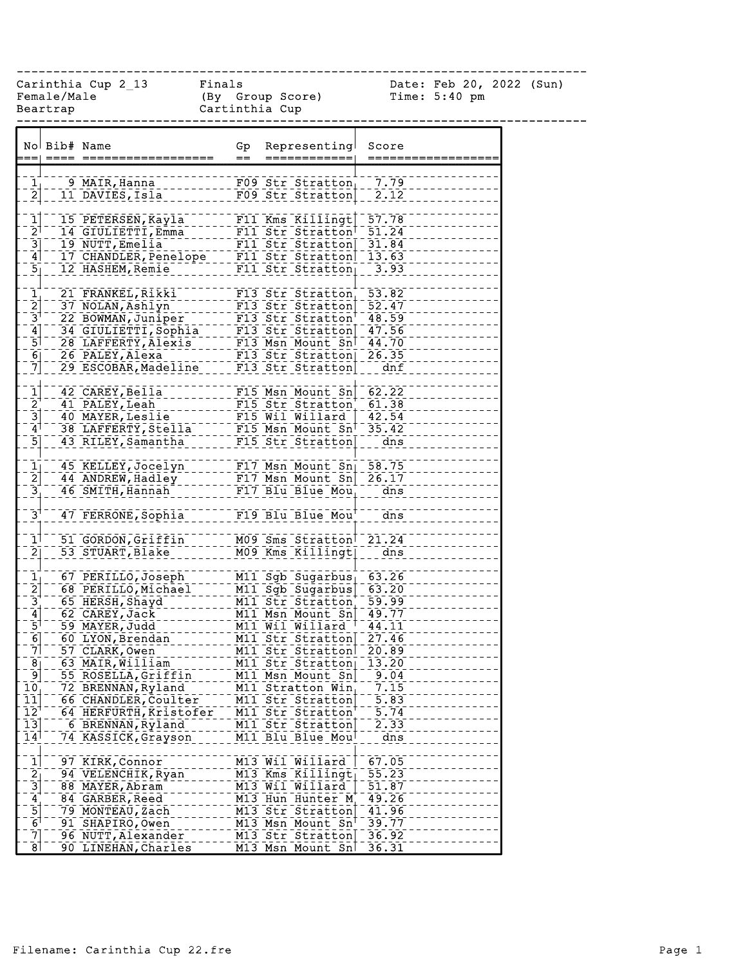------------------------------------------------------------------------------

Female/Male (By Group Score) Time: 5:40 pm Beartrap Cartinthia Cup

Carinthia Cup 2\_13 Finals Date: Feb 20, 2022 (Sun)

|                                                         | No Bib# Name |                        | Gp  | Representing                    | Score                  |
|---------------------------------------------------------|--------------|------------------------|-----|---------------------------------|------------------------|
|                                                         |              |                        | $=$ | ============                    |                        |
|                                                         |              |                        |     |                                 |                        |
|                                                         |              | 9 MAIR, Hanna          |     | F09 Str Stratton                | 7.79                   |
| $\frac{1}{2}$                                           |              | 11 DAVIES, Isla        |     | F09 Str Stratton                | 2.12                   |
|                                                         |              |                        |     |                                 |                        |
| $\mathbf{1}$                                            |              | 15 PETERSEN, Kayla     |     | F11 Kms Killingt                | $\overline{57.78}$     |
| $\bar{2}^{\dagger}$                                     |              | 14 GIULIETTI, Emma     |     | F11 Str Stratton                | 51.24                  |
|                                                         |              | 19 NUTT, Emelia        |     | F11 Str Stratton                | 31.84                  |
| $\frac{3}{4}$                                           |              | 17 CHANDLER, Penelope  |     | F11 Str Stratton                | 13.63                  |
|                                                         |              | 12 HASHEM, Remie       |     | $F11$ Str Stratton              | 3.93                   |
| 5 <sub>1</sub>                                          |              |                        |     |                                 |                        |
|                                                         |              |                        |     |                                 |                        |
| $\frac{1}{2}$ $\frac{1}{3}$ $\frac{1}{5}$ $\frac{1}{5}$ |              | 21 FRANKEL, Rikki      |     | $F13$ Str Stratton              | $\overline{53.82}$     |
|                                                         |              | 37 NOLAN, Ashlyn       |     | F13 Str Stratton                | 52.47                  |
|                                                         |              | 22 BOWMAN, Juniper     |     | F13 Str Stratton                | 48.59                  |
|                                                         |              | 34 GIULIETTI, Sophia   |     | F13 Str Stratton                | 47.56                  |
|                                                         |              | 28 LAFFERTY, Alexis    |     | F13 Msn Mount Sn                | 44.70                  |
| $\overline{6}$                                          |              | 26 PALEY, Alexa        |     | F13 Str Stratton                | 26.35                  |
| $\overline{7}$                                          |              | 29 ESCOBAR, Madeline   |     | F13 Str Stratton                | dnf                    |
|                                                         |              |                        |     |                                 |                        |
| $\frac{1}{2}$ $\frac{3}{4}$                             |              | 42 CAREY, Bella        |     | F15 Msn Mount Sn                | 62.22                  |
|                                                         |              | 41 PALEY, Leah         |     | F15 Str Stratton                | 61.38                  |
|                                                         |              | 40 MAYER, Leslie       |     | F15 Wil Willard                 | 42.54                  |
|                                                         |              | 38 LAFFERTY, Stella    |     | $F15$ Msn Mount Sn <sup>T</sup> | 35.42                  |
| $\overline{5}$                                          |              | 43 RILEY, Samantha     |     | F15 Str Stratton                | $\frac{1}{\text{dns}}$ |
|                                                         |              |                        |     |                                 |                        |
|                                                         |              |                        |     |                                 |                        |
| $\frac{1}{2}$ $\frac{2}{3}$                             |              | 45 KELLEY, Jocelyn     |     | F17 Msn Mount Sn 58.75          |                        |
|                                                         |              | 44 ANDREW, Hadley      |     | $F17$ Msn Mount Sn $26.17$      |                        |
|                                                         |              | 46 SMITH, Hannah       |     | $F17$ Blu Blue Mou              | dns                    |
|                                                         |              |                        |     |                                 |                        |
| $\bar{3}^{\dagger}$                                     |              | 47 FERRONE, Sophia     |     | F19 Blu Blue Mou                | dns                    |
|                                                         |              |                        |     |                                 |                        |
| $\mathbf{1}^{\dagger}$                                  |              | 51 GORDON, Griffin     |     | M09 Sms Stratton                | 21.24                  |
| $\overline{2}$                                          |              | 53 STUART, Blake       |     | M09 Kms Killingt                | $\bar{d}$ ns           |
|                                                         |              |                        |     |                                 |                        |
| $\frac{1}{2}$ $\frac{1}{3}$ $\frac{1}{4}$ $\frac{1}{5}$ |              | 67 PERILLO, Joseph     |     | M11 Sgb Sugarbus                | 63.26                  |
|                                                         |              | 68 PERILLO, Michael    |     | M11 Sgb Sugarbus                | 63.20                  |
|                                                         |              | 65 HERSH, Shayd        |     | M11 Str Stratton                | $\overline{59.99}$     |
|                                                         |              | 62 CAREY, Jack         |     | M11 Msn Mount Sn                | 49.77                  |
|                                                         |              | 59 MAYER, Judd         |     | M11 Wil Willard <sup>T</sup>    | 44.11                  |
| $\overline{6}$                                          |              | 60 LYON, Brendan       |     | MII Str Stratton                | 27.46                  |
| $\bar{7}$                                               |              | 57 CLARK, Owen         |     | M11 Str Stratton                | 20.89                  |
|                                                         |              |                        |     |                                 |                        |
| 8<br>ؘۜٶ                                                |              | 63 MAIR,William        |     | M11 Str Stratton                | 13.20                  |
|                                                         |              | 55 ROSELLA, Griffin    |     | M11 Msn Mount Sn                | 9.04                   |
| 10                                                      |              | 72 BRENNAN, Ryland     |     | M11 Stratton Win                | 7.15                   |
| $\overline{11}$                                         |              | 66 CHANDLER, Coulter   |     | M11 Str Stratton                | 5.83                   |
| $\overline{1}\overline{2}$                              |              | 64 HERFURTH, Kristofer |     | M11 Str Stratton                | $\overline{5.74}$      |
| $\overline{13}$                                         |              | 6 BRENNAN, Ryland      |     | M11 Str Stratton                | 2.33                   |
| $\overline{14}$                                         |              | 74 KASSICK, Grayson    |     | M11 Blu Blue Mou                | dns                    |
|                                                         |              |                        |     |                                 |                        |
| $\mathbf{I}$                                            |              | 97 KIRK, Connor        |     | M13 Wil Willard                 | 67.05                  |
|                                                         |              | 94 VELENCHIK, Ryan     |     | M13 Kms Killingt                | 55.23                  |
|                                                         |              | 88 MAYER, Abram        |     | M13 Wil Willard                 | 51.87                  |
|                                                         |              | 84 GARBER, Reed        |     | M13 Hun Hunter M                | 49.26                  |
|                                                         |              | 79 MONTEAU, Zach       |     | M13 Str Stratton                | 41.96                  |
| ט¦ט¦ב ¦ס'ס                                              |              | 91 SHAPIRO, Owen       |     | M13 Msn Mount Sn                | 39.77                  |
| $\bar{7}$                                               |              | 96 NUTT, Alexander     |     | M13 Str Stratton                | 36.92                  |
| $\overline{8}$                                          |              | 90 LINEHAN, Charles    |     | M13 Msn Mount Sn                | 36.31                  |
|                                                         |              |                        |     |                                 |                        |